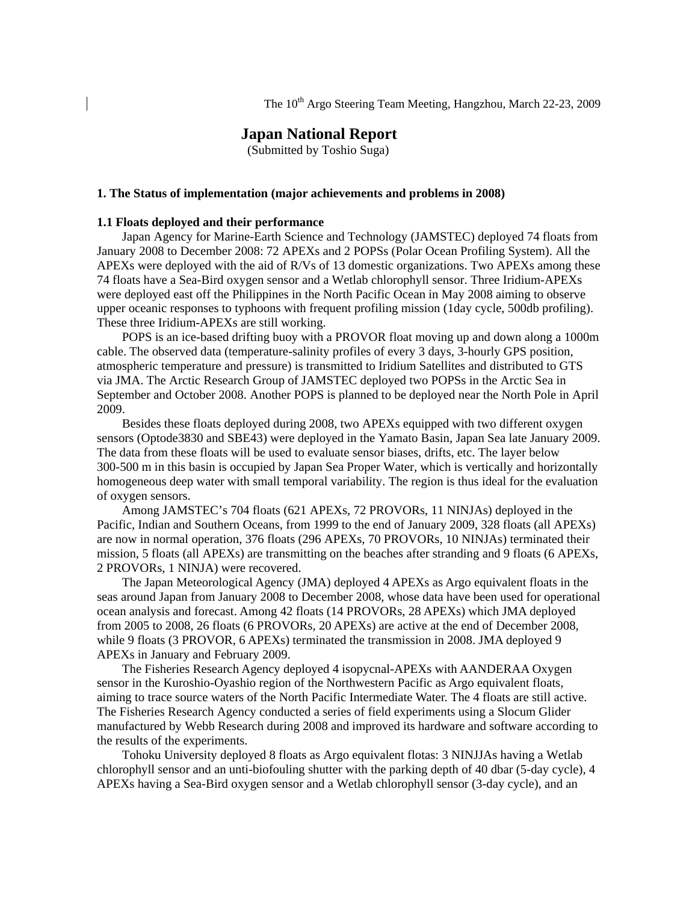# **Japan National Report**

(Submitted by Toshio Suga)

#### **1. The Status of implementation (major achievements and problems in 2008)**

#### **1.1 Floats deployed and their performance**

Japan Agency for Marine-Earth Science and Technology (JAMSTEC) deployed 74 floats from January 2008 to December 2008: 72 APEXs and 2 POPSs (Polar Ocean Profiling System). All the APEXs were deployed with the aid of R/Vs of 13 domestic organizations. Two APEXs among these 74 floats have a Sea-Bird oxygen sensor and a Wetlab chlorophyll sensor. Three Iridium-APEXs were deployed east off the Philippines in the North Pacific Ocean in May 2008 aiming to observe upper oceanic responses to typhoons with frequent profiling mission (1day cycle, 500db profiling). These three Iridium-APEXs are still working.

POPS is an ice-based drifting buoy with a PROVOR float moving up and down along a 1000m cable. The observed data (temperature-salinity profiles of every 3 days, 3-hourly GPS position, atmospheric temperature and pressure) is transmitted to Iridium Satellites and distributed to GTS via JMA. The Arctic Research Group of JAMSTEC deployed two POPSs in the Arctic Sea in September and October 2008. Another POPS is planned to be deployed near the North Pole in April 2009.

Besides these floats deployed during 2008, two APEXs equipped with two different oxygen sensors (Optode3830 and SBE43) were deployed in the Yamato Basin, Japan Sea late January 2009. The data from these floats will be used to evaluate sensor biases, drifts, etc. The layer below 300-500 m in this basin is occupied by Japan Sea Proper Water, which is vertically and horizontally homogeneous deep water with small temporal variability. The region is thus ideal for the evaluation of oxygen sensors.

Among JAMSTEC's 704 floats (621 APEXs, 72 PROVORs, 11 NINJAs) deployed in the Pacific, Indian and Southern Oceans, from 1999 to the end of January 2009, 328 floats (all APEXs) are now in normal operation, 376 floats (296 APEXs, 70 PROVORs, 10 NINJAs) terminated their mission, 5 floats (all APEXs) are transmitting on the beaches after stranding and 9 floats (6 APEXs, 2 PROVORs, 1 NINJA) were recovered.

The Japan Meteorological Agency (JMA) deployed 4 APEXs as Argo equivalent floats in the seas around Japan from January 2008 to December 2008, whose data have been used for operational ocean analysis and forecast. Among 42 floats (14 PROVORs, 28 APEXs) which JMA deployed from 2005 to 2008, 26 floats (6 PROVORs, 20 APEXs) are active at the end of December 2008, while 9 floats (3 PROVOR, 6 APEXs) terminated the transmission in 2008. JMA deployed 9 APEXs in January and February 2009.

 The Fisheries Research Agency deployed 4 isopycnal-APEXs with AANDERAA Oxygen sensor in the Kuroshio-Oyashio region of the Northwestern Pacific as Argo equivalent floats, aiming to trace source waters of the North Pacific Intermediate Water. The 4 floats are still active. The Fisheries Research Agency conducted a series of field experiments using a Slocum Glider manufactured by Webb Research during 2008 and improved its hardware and software according to the results of the experiments.

Tohoku University deployed 8 floats as Argo equivalent flotas: 3 NINJJAs having a Wetlab chlorophyll sensor and an unti-biofouling shutter with the parking depth of 40 dbar (5-day cycle), 4 APEXs having a Sea-Bird oxygen sensor and a Wetlab chlorophyll sensor (3-day cycle), and an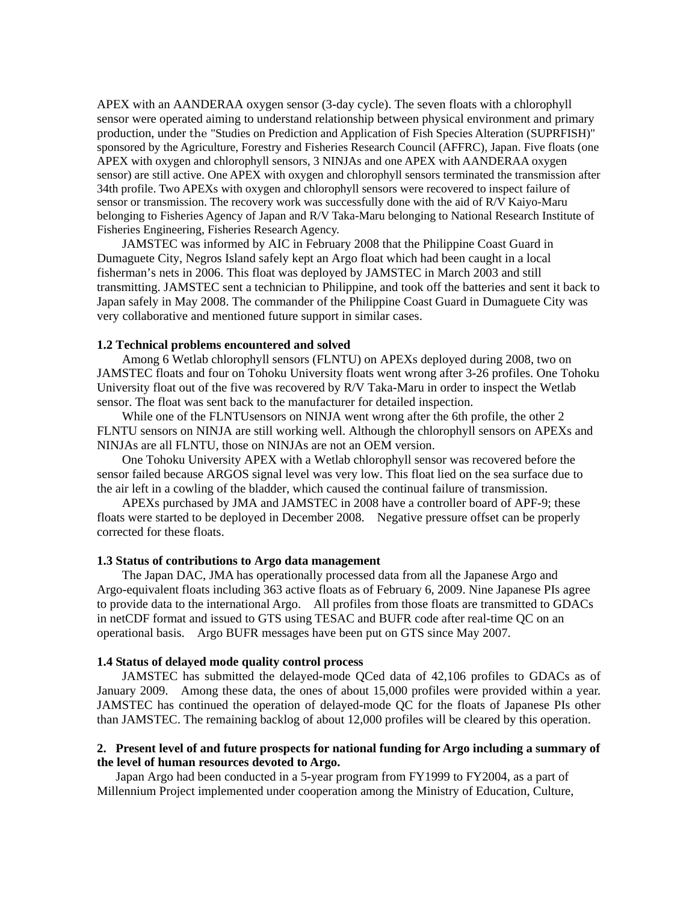APEX with an AANDERAA oxygen sensor (3-day cycle). The seven floats with a chlorophyll sensor were operated aiming to understand relationship between physical environment and primary production, under the "Studies on Prediction and Application of Fish Species Alteration (SUPRFISH)" sponsored by the Agriculture, Forestry and Fisheries Research Council (AFFRC), Japan. Five floats (one APEX with oxygen and chlorophyll sensors, 3 NINJAs and one APEX with AANDERAA oxygen sensor) are still active. One APEX with oxygen and chlorophyll sensors terminated the transmission after 34th profile. Two APEXs with oxygen and chlorophyll sensors were recovered to inspect failure of sensor or transmission. The recovery work was successfully done with the aid of R/V Kaiyo-Maru belonging to Fisheries Agency of Japan and R/V Taka-Maru belonging to National Research Institute of Fisheries Engineering, Fisheries Research Agency.

JAMSTEC was informed by AIC in February 2008 that the Philippine Coast Guard in Dumaguete City, Negros Island safely kept an Argo float which had been caught in a local fisherman's nets in 2006. This float was deployed by JAMSTEC in March 2003 and still transmitting. JAMSTEC sent a technician to Philippine, and took off the batteries and sent it back to Japan safely in May 2008. The commander of the Philippine Coast Guard in Dumaguete City was very collaborative and mentioned future support in similar cases.

## **1.2 Technical problems encountered and solved**

Among 6 Wetlab chlorophyll sensors (FLNTU) on APEXs deployed during 2008, two on JAMSTEC floats and four on Tohoku University floats went wrong after 3-26 profiles. One Tohoku University float out of the five was recovered by R/V Taka-Maru in order to inspect the Wetlab sensor. The float was sent back to the manufacturer for detailed inspection.

While one of the FLNTUsensors on NINJA went wrong after the 6th profile, the other 2 FLNTU sensors on NINJA are still working well. Although the chlorophyll sensors on APEXs and NINJAs are all FLNTU, those on NINJAs are not an OEM version.

One Tohoku University APEX with a Wetlab chlorophyll sensor was recovered before the sensor failed because ARGOS signal level was very low. This float lied on the sea surface due to the air left in a cowling of the bladder, which caused the continual failure of transmission.

APEXs purchased by JMA and JAMSTEC in 2008 have a controller board of APF-9; these floats were started to be deployed in December 2008. Negative pressure offset can be properly corrected for these floats.

### **1.3 Status of contributions to Argo data management**

The Japan DAC, JMA has operationally processed data from all the Japanese Argo and Argo-equivalent floats including 363 active floats as of February 6, 2009. Nine Japanese PIs agree to provide data to the international Argo. All profiles from those floats are transmitted to GDACs in netCDF format and issued to GTS using TESAC and BUFR code after real-time QC on an operational basis. Argo BUFR messages have been put on GTS since May 2007.

#### **1.4 Status of delayed mode quality control process**

JAMSTEC has submitted the delayed-mode QCed data of 42,106 profiles to GDACs as of January 2009. Among these data, the ones of about 15,000 profiles were provided within a year. JAMSTEC has continued the operation of delayed-mode QC for the floats of Japanese PIs other than JAMSTEC. The remaining backlog of about 12,000 profiles will be cleared by this operation.

## **2. Present level of and future prospects for national funding for Argo including a summary of the level of human resources devoted to Argo.**

Japan Argo had been conducted in a 5-year program from FY1999 to FY2004, as a part of Millennium Project implemented under cooperation among the Ministry of Education, Culture,